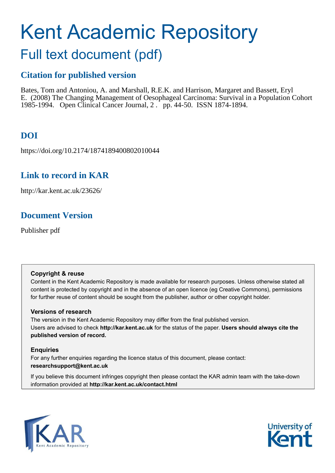# Kent Academic Repository

## Full text document (pdf)

## **Citation for published version**

Bates, Tom and Antoniou, A. and Marshall, R.E.K. and Harrison, Margaret and Bassett, Eryl E. (2008) The Changing Management of Oesophageal Carcinoma: Survival in a Population Cohort 1985-1994. Open Clinical Cancer Journal, 2 . pp. 44-50. ISSN 1874-1894.

## **DOI**

https://doi.org/10.2174/1874189400802010044

## **Link to record in KAR**

http://kar.kent.ac.uk/23626/

## **Document Version**

Publisher pdf

#### **Copyright & reuse**

Content in the Kent Academic Repository is made available for research purposes. Unless otherwise stated all content is protected by copyright and in the absence of an open licence (eg Creative Commons), permissions for further reuse of content should be sought from the publisher, author or other copyright holder.

#### **Versions of research**

The version in the Kent Academic Repository may differ from the final published version. Users are advised to check **http://kar.kent.ac.uk** for the status of the paper. **Users should always cite the published version of record.**

#### **Enquiries**

For any further enquiries regarding the licence status of this document, please contact: **researchsupport@kent.ac.uk**

If you believe this document infringes copyright then please contact the KAR admin team with the take-down information provided at **http://kar.kent.ac.uk/contact.html**



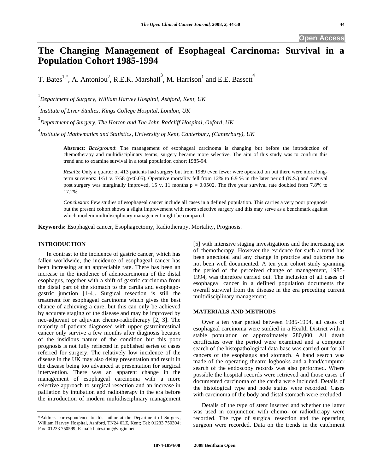**Open Access** 

### **The Changing Management of Esophageal Carcinoma: Survival in a Population Cohort 1985-1994**

T. Bates<sup>1,\*</sup>, A. Antoniou<sup>2</sup>, R.E.K. Marshall<sup>3</sup>, M. Harrison<sup>1</sup> and E.E. Bassett<sup>4</sup>

1 *Department of Surgery, William Harvey Hospital, Ashford, Kent, UK* 

2 *Institute of Liver Studies, Kings College Hospital, London, UK* 

3 *Department of Surgery, The Horton and The John Radcliff Hospital, Oxford, UK* 

4 *Institute of Mathematics and Statistics, University of Kent, Canterbury, (Canterbury), UK* 

**Abstract:** *Background*: The management of esophageal carcinoma is changing but before the introduction of chemotherapy and multidisciplinary teams, surgery became more selective. The aim of this study was to confirm this trend and to examine survival in a total population cohort 1985-94.

*Results*: Only a quarter of 413 patients had surgery but from 1989 even fewer were operated on but there were more longterm survivors:  $1/51$  v. 7/58 (p<0.05). Operative mortality fell from 12% to 6.9 % in the later period (N.S.) and survival post surgery was marginally improved, 15 v. 11 months  $p = 0.0502$ . The five year survival rate doubled from 7.8% to 17.2%.

*Conclusion*: Few studies of esophageal cancer include all cases in a defined population. This carries a very poor prognosis but the present cohort shows a slight improvement with more selective surgery and this may serve as a benchmark against which modern multidisciplinary management might be compared.

**Keywords:** Esophageal cancer, Esophagectomy, Radiotherapy, Mortality, Prognosis.

#### **INTRODUCTION**

 In contrast to the incidence of gastric cancer, which has fallen worldwide, the incidence of esophageal cancer has been increasing at an appreciable rate. There has been an increase in the incidence of adenocarcinoma of the distal esophagus, together with a shift of gastric carcinoma from the distal part of the stomach to the cardia and esophagogastric junction [1-4]. Surgical resection is still the treatment for esophageal carcinoma which gives the best chance of achieving a cure, but this can only be achieved by accurate staging of the disease and may be improved by neo-adjuvant or adjuvant chemo-radiotherapy [2, 3]. The majority of patients diagnosed with upper gastrointestinal cancer only survive a few months after diagnosis because of the insidious nature of the condition but this poor prognosis is not fully reflected in published series of cases referred for surgery. The relatively low incidence of the disease in the UK may also delay presentation and result in the disease being too advanced at presentation for surgical intervention. There was an apparent change in the management of esophageal carcinoma with a more selective approach to surgical resection and an increase in palliation by intubation and radiotherapy in the era before the introduction of modern multidisciplinary management

[5] with intensive staging investigations and the increasing use of chemotherapy. However the evidence for such a trend has been anecdotal and any change in practice and outcome has not been well documented. A ten year cohort study spanning the period of the perceived change of management, 1985- 1994, was therefore carried out. The inclusion of all cases of esophageal cancer in a defined population documents the overall survival from the disease in the era preceding current multidisciplinary management.

#### **MATERIALS AND METHODS**

 Over a ten year period between 1985-1994, all cases of esophageal carcinoma were studied in a Health District with a stable population of approximately 280,000. All death certificates over the period were examined and a computer search of the histopathological data-base was carried out for all cancers of the esophagus and stomach. A hand search was made of the operating theatre logbooks and a hand/computer search of the endoscopy records was also performed. Where possible the hospital records were retrieved and those cases of documented carcinoma of the cardia were included. Details of the histological type and node status were recorded. Cases with carcinoma of the body and distal stomach were excluded.

 Details of the type of stent inserted and whether the latter was used in conjunction with chemo- or radiotherapy were recorded. The type of surgical resection and the operating surgeon were recorded. Data on the trends in the catchment

<sup>\*</sup>Address correspondence to this author at the Department of Surgery, William Harvey Hospital, Ashford, TN24 0LZ, Kent; Tel: 01233 750304; Fax: 01233 750599; E-mail: bates.tom@virgin.net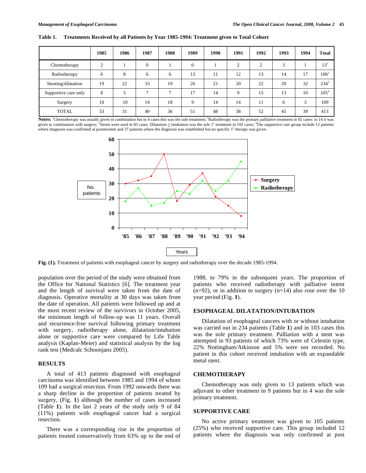|                      | 1985 | 1986 | 1987     | 1988 | 1989 | 1990 | 1991        | 1992   | 1993   | 1994 | <b>Total</b>    |
|----------------------|------|------|----------|------|------|------|-------------|--------|--------|------|-----------------|
| Chemotherapy         | ⌒    |      | $\Omega$ |      |      |      |             | $\sim$ | $\sim$ |      | 13 <sup>1</sup> |
| Radiotherapy         | 6    | 8    | 6        | 6    | 13   | 11   | 12          | 13     | 14     | 17   | $106^2$         |
| Stenting/dilatation  | 19   | 22   | 33       | 19   | 26   | 21   | 20          | 22     | 20     | 32   | $234^3$         |
| Supportive care only | 8    |      | –        |      | 17   | 14   | $\mathbf Q$ | 15     | 13     | 10   | $105^{4}$       |
| Surgery              | 10   | 10   | 14       | 18   | Q    | 14   | 14          | 11     | 6      |      | 109             |
| <b>TOTAL</b>         | 33   | 31   | 40       | 36   | 51   | 48   | 38          | 52     | 45     | 39   | 413             |

**Table 1. Treatments Received by all Patients by Year 1985-1994: Treatment given to Total Cohort** 

Notes: <sup>1</sup>Chemotherapy was usually given in combination but in 4 cases this was the sole treatment; <sup>2</sup>Radiotherapy was the primary palliative treatment in 92 cases: in 14 it was given in combination with surgery; <sup>3</sup>Stents were used in 83 cases. Dilatation  $\pm$  intubation was the sole 1<sup>°</sup> treatment in 103 cases; <sup>4</sup>The supportive care group include 12 patients where diagnosis was confirmed at postmortem and 37 patients where the diagnosis was established but no specific 1<sup>°</sup> therapy was given.



**Fig. (1).** Treatment of patients with esophageal cancer by surgery and radiotherapy over the decade 1985-1994.

population over the period of the study were obtained from the Office for National Statistics [6]. The treatment year and the length of survival were taken from the date of diagnosis. Operative mortality at 30 days was taken from the date of operation. All patients were followed up and at the most recent review of the survivors in October 2005, the minimum length of follow-up was 11 years. Overall and recurrence-free survival following primary treatment with surgery, radiotherapy alone, dilatation/intubation alone or supportive care were compared by Life Table analysis (Kaplan-Meier) and statistical analysis by the log rank test (Medcalc Schoonjans 2005).

#### **RESULTS**

 A total of 413 patients diagnosed with esophageal carcinoma was identified between 1985 and 1994 of whom 109 had a surgical resection. From 1992 onwards there was a sharp decline in the proportion of patients treated by surgery, (Fig. **1**) although the number of cases increased (Table **1**). In the last 2 years of the study only 9 of 84 (11%) patients with esophageal cancer had a surgical resection.

 There was a corresponding rise in the proportion of patients treated conservatively from 63% up to the end of

1988, to 79% in the subsequent years. The proportion of patients who received radiotherapy with palliative intent  $(n=92)$ , or in addition to surgery  $(n=14)$  also rose over the 10 year period (Fig. **1**).

#### **ESOPHAGEAL DILATATION/INTUBATION**

 Dilatation of esophageal cancers with or without intubation was carried out in 234 patients (Table **1**) and in 103 cases this was the sole primary treatment. Palliation with a stent was attempted in 93 patients of which 73% were of Celestin type, 22% Nottingham/Atkinson and 5% were not recorded. No patient in this cohort received intubation with an expandable metal stent.

#### **CHEMOTHERAPY**

 Chemotherapy was only given to 13 patients which was adjuvant to other treatment in 9 patients but in 4 was the sole primary treatment.

#### **SUPPORTIVE CARE**

 No active primary treatment was given to 105 patients (25%) who received supportive care. This group included 12 patients where the diagnosis was only confirmed at post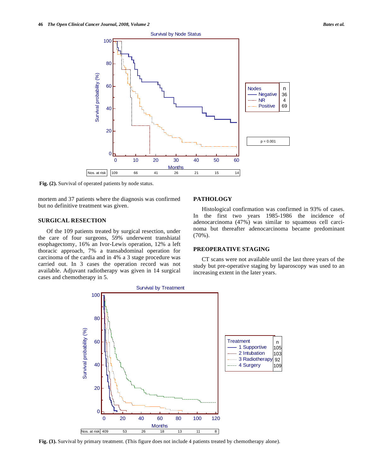

**Fig. (2).** Survival of operated patients by node status.

mortem and 37 patients where the diagnosis was confirmed but no definitive treatment was given.

#### **SURGICAL RESECTION**

 Of the 109 patients treated by surgical resection, under the care of four surgeons, 59% underwent transhiatal esophagectomy, 16% an Ivor-Lewis operation, 12% a left thoracic approach, 7% a transabdominal operation for carcinoma of the cardia and in 4% a 3 stage procedure was carried out. In 3 cases the operation record was not available. Adjuvant radiotherapy was given in 14 surgical cases and chemotherapy in 5.

#### **PATHOLOGY**

 Histological confirmation was confirmed in 93% of cases. In the first two years 1985-1986 the incidence of adenocarcinoma (47%) was similar to squamous cell carcinoma but thereafter adenocarcinoma became predominant (70%).

#### **PREOPERATIVE STAGING**

 CT scans were not available until the last three years of the study but pre-operative staging by laparoscopy was used to an increasing extent in the later years.



**Fig. (3).** Survival by primary treatment. (This figure does not include 4 patients treated by chemotherapy alone).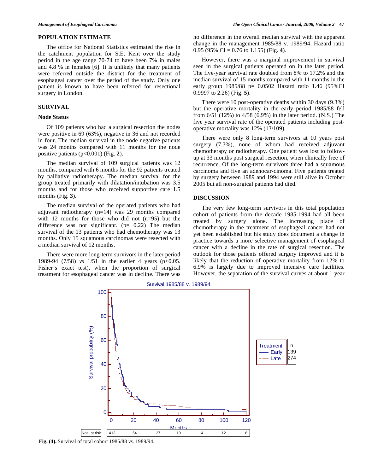#### **POPULATION ESTIMATE**

 The office for National Statistics estimated the rise in the catchment population for S.E. Kent over the study period in the age range 70-74 to have been 7% in males and 4.8 % in females [6]. It is unlikely that many patients were referred outside the district for the treatment of esophageal cancer over the period of the study. Only one patient is known to have been referred for resectional surgery in London.

#### **SURVIVAL**

#### **Node Status**

 Of 109 patients who had a surgical resection the nodes were positive in 69 (63%), negative in 36 and not recorded in four. The median survival in the node negative patients was 24 months compared with 11 months for the node positive patients (p<0.001) (Fig. **2**).

 The median survival of 109 surgical patients was 12 months, compared with 6 months for the 92 patients treated by palliative radiotherapy. The median survival for the group treated primarily with dilatation/intubation was 3.5 months and for those who received supportive care 1.5 months (Fig. **3**).

 The median survival of the operated patients who had adjuvant radiotherapy (n=14) was 29 months compared with 12 months for those who did not (n=95) but the difference was not significant. ( $p= 0.22$ ) The median survival of the 13 patients who had chemotherapy was 13 months. Only 15 squamous carcinomas were resected with a median survival of 12 months.

 There were more long-term survivors in the later period 1989-94 (7/58) *vs* 1/51 in the earlier 4 years (p<0.05. Fisher's exact test), when the proportion of surgical treatment for esophageal cancer was in decline. There was

no difference in the overall median survival with the apparent change in the management 1985/88 v. 1989/94. Hazard ratio 0.95 (95% CI = 0.76 to 1.155) (Fig. **4**).

 However, there was a marginal improvement in survival seen in the surgical patients operated on in the later period. The five-year survival rate doubled from 8% to 17.2% and the median survival of 15 months compared with 11 months in the early group  $1985/88$  p= 0.0502 Hazard ratio 1.46 (95%CI 0.9997 to 2.26) (Fig. **5**).

 There were 10 post-operative deaths within 30 days (9.3%) but the operative mortality in the early period 1985/88 fell from 6/51 (12%) to 4/58 (6.9%) in the later period. (N.S.) The five year survival rate of the operated patients including postoperative mortality was 12% (13/109).

 There were only 8 long-term survivors at 10 years post surgery (7.3%), none of whom had received adjuvant chemotherapy or radiotherapy. One patient was lost to followup at 33 months post surgical resection, when clinically free of recurrence. Of the long-term survivors three had a squamous carcinoma and five an adenocar-cinoma. Five patients treated by surgery between 1989 and 1994 were still alive in October 2005 but all non-surgical patients had died.

#### **DISCUSSION**

 The very few long-term survivors in this total population cohort of patients from the decade 1985-1994 had all been treated by surgery alone. The increasing place of chemotherapy in the treatment of esophageal cancer had not yet been established but his study does document a change in practice towards a more selective management of esophageal cancer with a decline in the rate of surgical resection. The outlook for those patients offered surgery improved and it is likely that the reduction of operative mortality from 12% to 6.9% is largely due to improved intensive care facilities. However, the separation of the survival curves at about 1 year



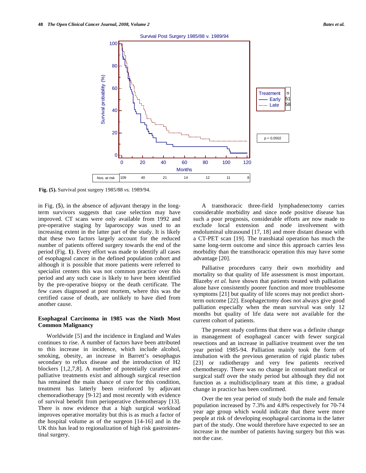

**Fig. (5).** Survival post surgery 1985/88 *vs.* 1989/94.

in Fig. (**5**), in the absence of adjuvant therapy in the longterm survivors suggests that case selection may have improved. CT scans were only available from 1992 and pre-operative staging by laparoscopy was used to an increasing extent in the latter part of the study. It is likely that these two factors largely account for the reduced number of patients offered surgery towards the end of the period (Fig. **1**). Every effort was made to identify all cases of esophageal cancer in the defined population cohort and although it is possible that more patients were referred to specialist centers this was not common practice over this period and any such case is likely to have been identified by the pre-operative biopsy or the death certificate. The few cases diagnosed at post mortem, where this was the certified cause of death, are unlikely to have died from another cause.

#### **Esophageal Carcinoma in 1985 was the Ninth Most Common Malignancy**

 Worldwide [5] and the incidence in England and Wales continues to rise. A number of factors have been attributed to this increase in incidence, which include alcohol, smoking, obesity, an increase in Barrett's oesophagus secondary to reflux disease and the introduction of H2 blockers [1,2,7,8]. A number of potentially curative and palliative treatments exist and although surgical resection has remained the main chance of cure for this condition, treatment has latterly been reinforced by adjuvant chemoradiotherapy [9-12] and most recently with evidence of survival benefit from perioperative chemotherapy [13]. There is now evidence that a high surgical workload improves operative mortality but this is as much a factor of the hospital volume as of the surgeon [14-16] and in the UK this has lead to regionalization of high risk gastrointestinal surgery.

 A transthoracic three-field lymphadenectomy carries considerable morbidity and since node positive disease has such a poor prognosis, considerable efforts are now made to exclude local extension and node involvement with endoluminal ultrasound [17, 18] and more distant disease with a CT-PET scan [19]. The transhiatal operation has much the same long-term outcome and since this approach carries less morbidity than the transthoracic operation this may have some advantage [20].

 Palliative procedures carry their own morbidity and mortality so that quality of life assessment is most important. Blazeby *et al.* have shown that patients treated with palliation alone have consistently poorer function and more troublesome symptoms [21] but quality of life scores may not predict shortterm outcome [22]. Esophagectomy does not always give good palliation especially when the mean survival was only 12 months but quality of life data were not available for the current cohort of patients.

 The present study confirms that there was a definite change in management of esophageal cancer with fewer surgical resections and an increase in palliative treatment over the ten year period 1985-94. Palliation mainly took the form of intubation with the previous generation of rigid plastic tubes [23] or radiotherapy and very few patients received chemotherapy. There was no change in consultant medical or surgical staff over the study period but although they did not function as a multidisciplinary team at this time, a gradual change in practice has been confirmed.

 Over the ten year period of study both the male and female population increased by 7.3% and 4.8% respectively for 70-74 year age group which would indicate that there were more people at risk of developing esophageal carcinoma in the latter part of the study. One would therefore have expected to see an increase in the number of patients having surgery but this was not the case.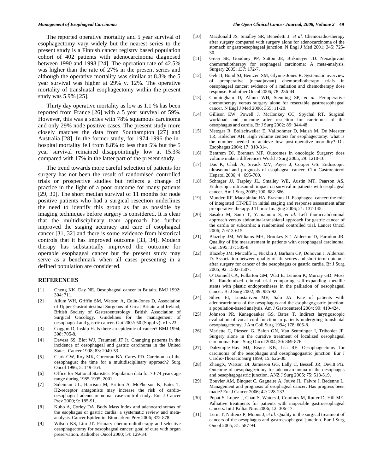The reported operative mortality and 5 year survival of esophagectomy vary widely but the nearest series to the present study is a Finnish cancer registry based population cohort of 402 patients with adenocarcinoma diagnosed between 1990 and 1998 [24]. The operation rate of 42.5% was higher than the rate of 27% in the present series and although the operative mortality was similar at 8.8% the 5 year survival was higher at 29% v. 12%. The operative mortality of transhiatal esophagectomy within the present study was 5.9% [25].

 Thirty day operative mortality as low as 1.1 % has been reported from France [26] with a 5 year survival of 59%. However, this was a series with 78% squamous carcinoma and only 29% node positive cases. The present study more closely matches the data from Southampton [27] and Australia [28]. In the former study, for 1974-1996 the inhospital mortality fell from 8.8% to less than 5% but the 5 year survival remained disappointingly low at 15.3% compared with 17% in the latter part of the present study.

 The trend towards more careful selection of patients for surgery has not been the result of randomised controlled trials or prospective studies but reflects a change of practice in the light of a poor outcome for many patients [29, 30]. The short median survival of 11 months for node positive patients who had a surgical resection underlines the need to identify this group as far as possible by imaging techniques before surgery is considered. It is clear that the multidisciplinary team approach has further improved the staging accuracy and care of esophageal cancer [31, 32] and there is some evidence from historical controls that it has improved outcome [33, 34]. Modern therapy has substantially improved the outcome for operable esophageal cancer but the present study may serve as a benchmark when all cases presenting in a defined population are considered.

#### **REFERENCES**

- [1] Cheng KK, Day NE. Oesophageal cancer in Britain. BMJ 1992; 304: 711.
- [2] Allum WH, Griffin SM, Watson A, Colin-Jones D, Association of Upper Gastrointestinal Surgeons of Great Britain and Ireland; British Society of Gasteroenterology; British Association of Surgical Oncology. Guidelines for the management of oesophageal and gastric cancer. Gut 2002: 50 (Suppl v): v1-v23.
- [3] Coggon D, Inskip H. Is there an epidemic of cancer? BMJ 1994;  $308.705 - 8$
- [4] Devesa SS, Blot WJ, Fraumeni JF Jr. Changing patterns in the incidence of oesophageal and gastric carcinoma in the United States. Cancer 1998; 83: 2049-53.
- [5] Clark GW, Roy MK, Corcoran BA, Carey PD. Carcinoma of the oesophagus: the time for a multidisciplinary approach? Surg Oncol 1996; 5: 149-164.
- [6] Office for National Statistics. Population data for 70-74 years age range during 1985-1995, 2001.
- [7] Suleiman UL, Harrison M, Britton A, McPherson K, Bates T. H2-receptor antagonists may increase the risk of cardiooesophageal adenocarcinoma: case-control study. Eur J Cancer Prev 2000; 9: 185-91.
- [8] Kubo A, Corley DA. Body Mass Index and adenocarcinomas of the esophagus or gastric cardia: a systematic review and metaanalysis. Cancer Epidemiol Biomarkers Prev 2006; 872-878.
- [9] Wilson KS, Lim JT. Primary chemo-radiotherapy and selective oesophagectomy for oesophageal cancer: goal of cure with organ preservation. Radiother Oncol 2000; 54: 129-34.
- [10] Macdonald JS, Smalley SR, Benedetti J, *et al.* Chemoradio-therapy after surgery compared with surgery alone for adenocarcinoma of the stomach or gastroesophageal junction. N Engl J Med 2001; 345: 725- 30.
- [11] Greer SE, Goodney PP, Sutton JE, Birkmeyer JD. Neoadjuvant chemoradiotherapy for esophageal carcinoma: A meta-analysis. Surgery 2005; 137: 172-7.
- [12] Geh JI, Bond SJ, Bentzen SM, Glynne-Jones R. Systematic overview of preoperative (neoadjuvant) chemoradiotherapy trials in oesophageal cancer: evidence of a radiation and chemotherapy dose response. Radiother Oncol 2006; 78: 236-44.
- [13] Cunningham D, Allum WH, Stenning SP, *et al.* Perioperative chemotherapy versus surgery alone for resectable gastroesophageal cancer. N Engl J Med 2006; 355: 11-20.
- [14] Gillison EW, Powell J, McConkey CC, Spychal RT. Surgical workload and outcome after resection for carcinoma of the oesophagus and cardia. Br J Surg 2002; 89: 344-48.
- [15] Metzger R, Bollschweiler E, Vallbohmer D, Maish M, De Meester TR, Holscher AH. High volume centers for esophagectomy: what is the number needed to achieve low post-operative mortality? Dis Esophagus 2004; 17: 310-314.
- [16] Bentrem DJ, Brennan MF. Outcomes in oncologic Surgery: does volume make a difference? World J Surg 2005; 29: 1210-16.
- [17] Das K, Chak A, Sivack MV, Payes J, Cooper GS. Endoscopic ultrasound and prognosis of esophageal cancer. Clin Gastroenterol Hepatol 2006; 4 : 695-700.
- [18] Schrager JJ, Tarpley JL, Smalley WE, Austin MT, Pearson AS. Endoscopic ultrasound: impact on survival in patients with esophageal cancer. Am J Surg 2005; 190: 682-686.
- [19] Munden RF, Macapinlac HA, Erasmus JJ. Esophageal cancer: the role of integrated CT-PET in initial staging and response assessment after preoperative therapy. J Thorac Imaging 2006; 21: 137-145.
- [20] Sasako M, Sano T, Yamamoto S, *et al.* Left thoracoabdominal approach versus abdominal-transhiatal approach for gastric cancer of the cardia or subcardia: a randomised controlled trial. Lancet Oncol 2006; 7: 613-615.
- [21] Blazeby JM, Williams MH, Brookes ST, Alderson D, Farndon JR. Qualiity of life measurement in patients with oesophageal carcinoma. Gut 1995; 37: 505-8.
- [22] Blazeby JM, Metcalfe L, Nicklin J, Barham CP, Donovan J, Alderson D. Association between quality of life scores and short-term outcome after surgery for cancer of the oesophagus or gastric cardia. Br J Surg 2005; 92: 1502-1507.
- [23] O'Donnell CA, Fullarton GM, Watt E, Lennon K, Murray GD, Moss JG. Randomized clinical trial comparing self-expanding metallic stents with plastic endoprostheses in the palliation of oesophageal cancer. Br J Surg 2002; 89: 985-92.
- [24] Sihvo EI, Luostariven ME, Salo JA. Fate of patients with adenocarcinoma of the oesophagus and the esophagogastric junction: a population-based analysis. Am J Gastroenterol 2004; 99: 419-424.
- [25] Johnson PR, Kanegoanker GS, Bates T. Indirect laryngoscopic evaluation of vocal cord function in patients undergoing transhiatal oesophagectomy. J Am Coll Surg 1994; 178: 605-8.
- [26] Mariette C, Piessen G, Balon GN, Van Senminger I, Tribonlet JP. Surgery alone in the curative treatment of localized oesophageal carcinoma. Eur J Surg Oncol 2004; 30: 869-876.
- [27] Dalrymple-Hay MJ, Evans KB, Lea RE. Oesophagectomy for carcinoma of the oesophagus and oesophagogastric junction. Eur J Cardio-Thoracic Surg 1999; 15: 626-30.
- [28] ZhangX, Watson DI, Jamieson GG, Lally C, Bessell JR, Devitt PG. Outcome of oesophagectomy for adenocarcinoma of the oesophagus and oesophagogastric junction. ANZ J Surg 2005; 75: 513-519.
- [29] Bouvier AM, Binquet C, Gagnaire A, Jouve JL, Faivre J, Bedenne L. Management and prognosis of esophageal cancer: Has progress been made? Eur J Cancer 2006; 42: 228-233.
- [30] Popat S, Lopez J, Chan S, Waters J, Cominos M, Rutter D, Hill ME. Palliative treatments for patients with inoperable gastroesophageal cancers. Int J Palliat Nurs 2006; 12: 306-17.
- [31] Lerut T, Nafteux P, Moons J, et al. Quality in the surgical treatment of cancers of the oesophagus and gastroesophageal junction. Eur J Surg Oncol 2005; 31: 587-94.